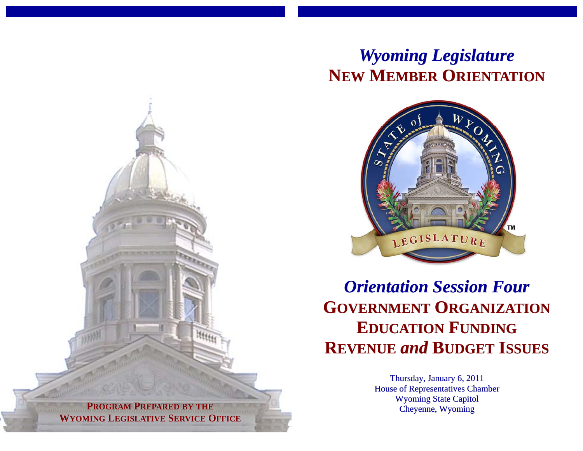## *Wyoming Legislature* **NEW MEMBER ORIENTATION**



*Orientation Session Four* **GOVERNMENT ORGANIZATION EDUCATION FUNDING REVENUE** *and* **BUDGET ISSUES**

> Thursday, January 6, 2011 House of Representatives Chamber Wyoming State Capitol Cheyenne, Wyoming

**PROGRAM PREPARED BY THE PROGRAM PREPARED BY THE WYOMING LEGISLATIVE SERVICE OFFICE WYOMING LEGISLATIVE SERVICE OFFICE**